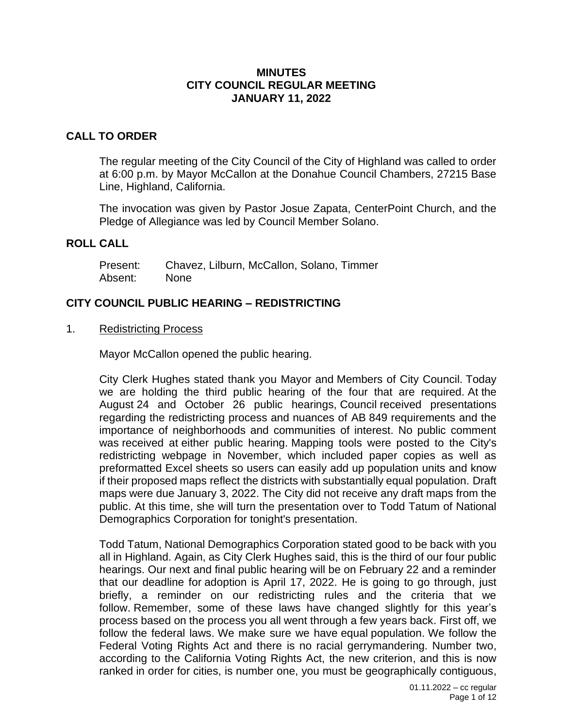#### **MINUTES CITY COUNCIL REGULAR MEETING JANUARY 11, 2022**

## **CALL TO ORDER**

The regular meeting of the City Council of the City of Highland was called to order at 6:00 p.m. by Mayor McCallon at the Donahue Council Chambers, 27215 Base Line, Highland, California.

The invocation was given by Pastor Josue Zapata, CenterPoint Church, and the Pledge of Allegiance was led by Council Member Solano.

#### **ROLL CALL**

| Present: | Chavez, Lilburn, McCallon, Solano, Timmer |  |  |
|----------|-------------------------------------------|--|--|
| Absent:  | None                                      |  |  |

### **CITY COUNCIL PUBLIC HEARING – REDISTRICTING**

1. Redistricting Process

Mayor McCallon opened the public hearing.

City Clerk Hughes stated thank you Mayor and Members of City Council. Today we are holding the third public hearing of the four that are required. At the August 24 and October 26 public hearings, Council received presentations regarding the redistricting process and nuances of AB 849 requirements and the importance of neighborhoods and communities of interest. No public comment was received at either public hearing. Mapping tools were posted to the City's redistricting webpage in November, which included paper copies as well as preformatted Excel sheets so users can easily add up population units and know if their proposed maps reflect the districts with substantially equal population. Draft maps were due January 3, 2022. The City did not receive any draft maps from the public. At this time, she will turn the presentation over to Todd Tatum of National Demographics Corporation for tonight's presentation.

Todd Tatum, National Demographics Corporation stated good to be back with you all in Highland. Again, as City Clerk Hughes said, this is the third of our four public hearings. Our next and final public hearing will be on February 22 and a reminder that our deadline for adoption is April 17, 2022. He is going to go through, just briefly, a reminder on our redistricting rules and the criteria that we follow. Remember, some of these laws have changed slightly for this year's process based on the process you all went through a few years back. First off, we follow the federal laws. We make sure we have equal population. We follow the Federal Voting Rights Act and there is no racial gerrymandering. Number two, according to the California Voting Rights Act, the new criterion, and this is now ranked in order for cities, is number one, you must be geographically contiguous,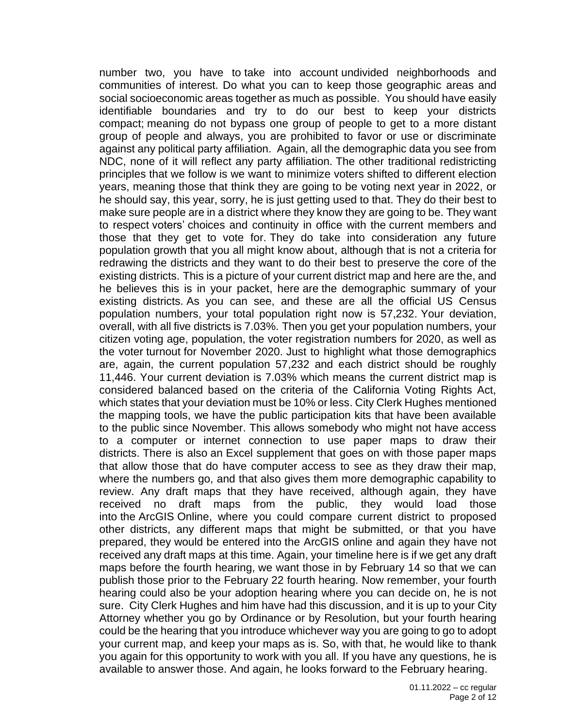number two, you have to take into account undivided neighborhoods and communities of interest. Do what you can to keep those geographic areas and social socioeconomic areas together as much as possible. You should have easily identifiable boundaries and try to do our best to keep your districts compact; meaning do not bypass one group of people to get to a more distant group of people and always, you are prohibited to favor or use or discriminate against any political party affiliation. Again, all the demographic data you see from NDC, none of it will reflect any party affiliation. The other traditional redistricting principles that we follow is we want to minimize voters shifted to different election years, meaning those that think they are going to be voting next year in 2022, or he should say, this year, sorry, he is just getting used to that. They do their best to make sure people are in a district where they know they are going to be. They want to respect voters' choices and continuity in office with the current members and those that they get to vote for. They do take into consideration any future population growth that you all might know about, although that is not a criteria for redrawing the districts and they want to do their best to preserve the core of the existing districts. This is a picture of your current district map and here are the, and he believes this is in your packet, here are the demographic summary of your existing districts. As you can see, and these are all the official US Census population numbers, your total population right now is 57,232. Your deviation, overall, with all five districts is 7.03%. Then you get your population numbers, your citizen voting age, population, the voter registration numbers for 2020, as well as the voter turnout for November 2020. Just to highlight what those demographics are, again, the current population 57,232 and each district should be roughly 11,446. Your current deviation is 7.03% which means the current district map is considered balanced based on the criteria of the California Voting Rights Act, which states that your deviation must be 10% or less. City Clerk Hughes mentioned the mapping tools, we have the public participation kits that have been available to the public since November. This allows somebody who might not have access to a computer or internet connection to use paper maps to draw their districts. There is also an Excel supplement that goes on with those paper maps that allow those that do have computer access to see as they draw their map, where the numbers go, and that also gives them more demographic capability to review. Any draft maps that they have received, although again, they have received no draft maps from the public, they would load those into the ArcGIS Online, where you could compare current district to proposed other districts, any different maps that might be submitted, or that you have prepared, they would be entered into the ArcGIS online and again they have not received any draft maps at this time. Again, your timeline here is if we get any draft maps before the fourth hearing, we want those in by February 14 so that we can publish those prior to the February 22 fourth hearing. Now remember, your fourth hearing could also be your adoption hearing where you can decide on, he is not sure. City Clerk Hughes and him have had this discussion, and it is up to your City Attorney whether you go by Ordinance or by Resolution, but your fourth hearing could be the hearing that you introduce whichever way you are going to go to adopt your current map, and keep your maps as is. So, with that, he would like to thank you again for this opportunity to work with you all. If you have any questions, he is available to answer those. And again, he looks forward to the February hearing.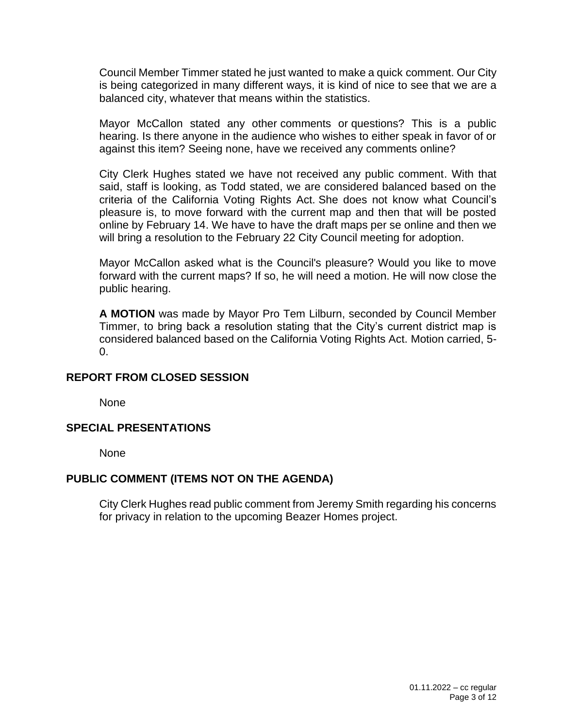Council Member Timmer stated he just wanted to make a quick comment. Our City is being categorized in many different ways, it is kind of nice to see that we are a balanced city, whatever that means within the statistics.

Mayor McCallon stated any other comments or questions? This is a public hearing. Is there anyone in the audience who wishes to either speak in favor of or against this item? Seeing none, have we received any comments online?

City Clerk Hughes stated we have not received any public comment. With that said, staff is looking, as Todd stated, we are considered balanced based on the criteria of the California Voting Rights Act. She does not know what Council's pleasure is, to move forward with the current map and then that will be posted online by February 14. We have to have the draft maps per se online and then we will bring a resolution to the February 22 City Council meeting for adoption.

Mayor McCallon asked what is the Council's pleasure? Would you like to move forward with the current maps? If so, he will need a motion. He will now close the public hearing.

**A MOTION** was made by Mayor Pro Tem Lilburn, seconded by Council Member Timmer, to bring back a resolution stating that the City's current district map is considered balanced based on the California Voting Rights Act. Motion carried, 5-  $\Omega$ .

### **REPORT FROM CLOSED SESSION**

None

### **SPECIAL PRESENTATIONS**

None

#### **PUBLIC COMMENT (ITEMS NOT ON THE AGENDA)**

City Clerk Hughes read public comment from Jeremy Smith regarding his concerns for privacy in relation to the upcoming Beazer Homes project.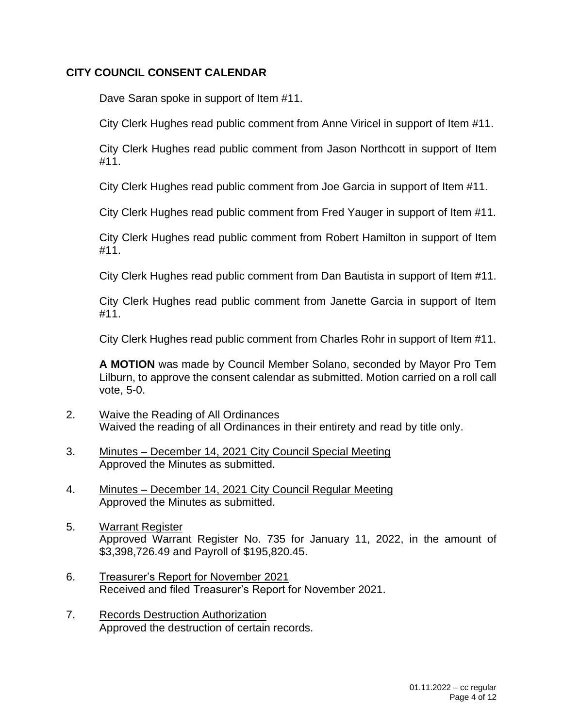## **CITY COUNCIL CONSENT CALENDAR**

Dave Saran spoke in support of Item #11.

City Clerk Hughes read public comment from Anne Viricel in support of Item #11.

City Clerk Hughes read public comment from Jason Northcott in support of Item #11.

City Clerk Hughes read public comment from Joe Garcia in support of Item #11.

City Clerk Hughes read public comment from Fred Yauger in support of Item #11.

City Clerk Hughes read public comment from Robert Hamilton in support of Item #11.

City Clerk Hughes read public comment from Dan Bautista in support of Item #11.

City Clerk Hughes read public comment from Janette Garcia in support of Item #11.

City Clerk Hughes read public comment from Charles Rohr in support of Item #11.

**A MOTION** was made by Council Member Solano, seconded by Mayor Pro Tem Lilburn, to approve the consent calendar as submitted. Motion carried on a roll call vote, 5-0.

- 2. Waive the Reading of All Ordinances Waived the reading of all Ordinances in their entirety and read by title only.
- 3. Minutes December 14, 2021 City Council Special Meeting Approved the Minutes as submitted.
- 4. Minutes December 14, 2021 City Council Regular Meeting Approved the Minutes as submitted.
- 5. Warrant Register Approved Warrant Register No. 735 for January 11, 2022, in the amount of \$3,398,726.49 and Payroll of \$195,820.45.
- 6. Treasurer's Report for November 2021 Received and filed Treasurer's Report for November 2021.
- 7. Records Destruction Authorization Approved the destruction of certain records.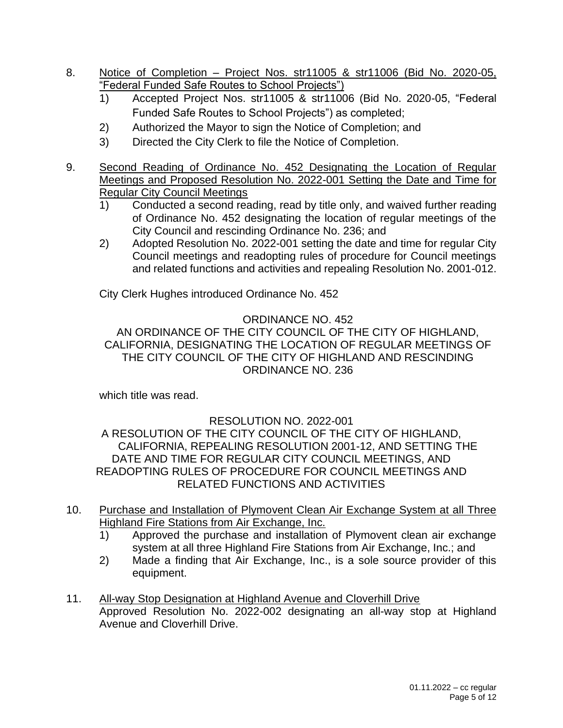- 8. Notice of Completion Project Nos. str11005 & str11006 (Bid No. 2020-05, "Federal Funded Safe Routes to School Projects")
	- 1) Accepted Project Nos. str11005 & str11006 (Bid No. 2020-05, "Federal Funded Safe Routes to School Projects") as completed;
	- 2) Authorized the Mayor to sign the Notice of Completion; and
	- 3) Directed the City Clerk to file the Notice of Completion.
- 9. Second Reading of Ordinance No. 452 Designating the Location of Regular Meetings and Proposed Resolution No. 2022-001 Setting the Date and Time for Regular City Council Meetings
	- 1) Conducted a second reading, read by title only, and waived further reading of Ordinance No. 452 designating the location of regular meetings of the City Council and rescinding Ordinance No. 236; and
	- 2) Adopted Resolution No. 2022-001 setting the date and time for regular City Council meetings and readopting rules of procedure for Council meetings and related functions and activities and repealing Resolution No. 2001-012.

City Clerk Hughes introduced Ordinance No. 452

# ORDINANCE NO. 452

AN ORDINANCE OF THE CITY COUNCIL OF THE CITY OF HIGHLAND, CALIFORNIA, DESIGNATING THE LOCATION OF REGULAR MEETINGS OF THE CITY COUNCIL OF THE CITY OF HIGHLAND AND RESCINDING ORDINANCE NO. 236

which title was read.

# RESOLUTION NO. 2022-001

A RESOLUTION OF THE CITY COUNCIL OF THE CITY OF HIGHLAND, CALIFORNIA, REPEALING RESOLUTION 2001-12, AND SETTING THE DATE AND TIME FOR REGULAR CITY COUNCIL MEETINGS, AND READOPTING RULES OF PROCEDURE FOR COUNCIL MEETINGS AND RELATED FUNCTIONS AND ACTIVITIES

- 10. Purchase and Installation of Plymovent Clean Air Exchange System at all Three Highland Fire Stations from Air Exchange, Inc.
	- 1) Approved the purchase and installation of Plymovent clean air exchange system at all three Highland Fire Stations from Air Exchange, Inc.; and
	- 2) Made a finding that Air Exchange, Inc., is a sole source provider of this equipment.
- 11. All-way Stop Designation at Highland Avenue and Cloverhill Drive Approved Resolution No. 2022-002 designating an all-way stop at Highland Avenue and Cloverhill Drive.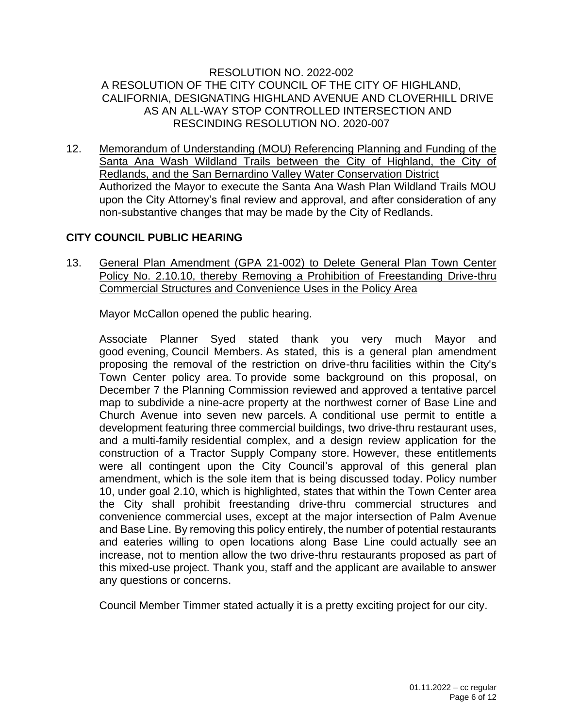#### RESOLUTION NO. 2022-002 A RESOLUTION OF THE CITY COUNCIL OF THE CITY OF HIGHLAND, CALIFORNIA, DESIGNATING HIGHLAND AVENUE AND CLOVERHILL DRIVE AS AN ALL-WAY STOP CONTROLLED INTERSECTION AND RESCINDING RESOLUTION NO. 2020-007

12. Memorandum of Understanding (MOU) Referencing Planning and Funding of the Santa Ana Wash Wildland Trails between the City of Highland, the City of Redlands, and the San Bernardino Valley Water Conservation District Authorized the Mayor to execute the Santa Ana Wash Plan Wildland Trails MOU upon the City Attorney's final review and approval, and after consideration of any non-substantive changes that may be made by the City of Redlands.

## **CITY COUNCIL PUBLIC HEARING**

13. General Plan Amendment (GPA 21-002) to Delete General Plan Town Center Policy No. 2.10.10, thereby Removing a Prohibition of Freestanding Drive-thru Commercial Structures and Convenience Uses in the Policy Area

Mayor McCallon opened the public hearing.

Associate Planner Syed stated thank you very much Mayor and good evening, Council Members. As stated, this is a general plan amendment proposing the removal of the restriction on drive-thru facilities within the City's Town Center policy area. To provide some background on this proposal, on December 7 the Planning Commission reviewed and approved a tentative parcel map to subdivide a nine-acre property at the northwest corner of Base Line and Church Avenue into seven new parcels. A conditional use permit to entitle a development featuring three commercial buildings, two drive-thru restaurant uses, and a multi-family residential complex, and a design review application for the construction of a Tractor Supply Company store. However, these entitlements were all contingent upon the City Council's approval of this general plan amendment, which is the sole item that is being discussed today. Policy number 10, under goal 2.10, which is highlighted, states that within the Town Center area the City shall prohibit freestanding drive-thru commercial structures and convenience commercial uses, except at the major intersection of Palm Avenue and Base Line. By removing this policy entirely, the number of potential restaurants and eateries willing to open locations along Base Line could actually see an increase, not to mention allow the two drive-thru restaurants proposed as part of this mixed-use project. Thank you, staff and the applicant are available to answer any questions or concerns.

Council Member Timmer stated actually it is a pretty exciting project for our city.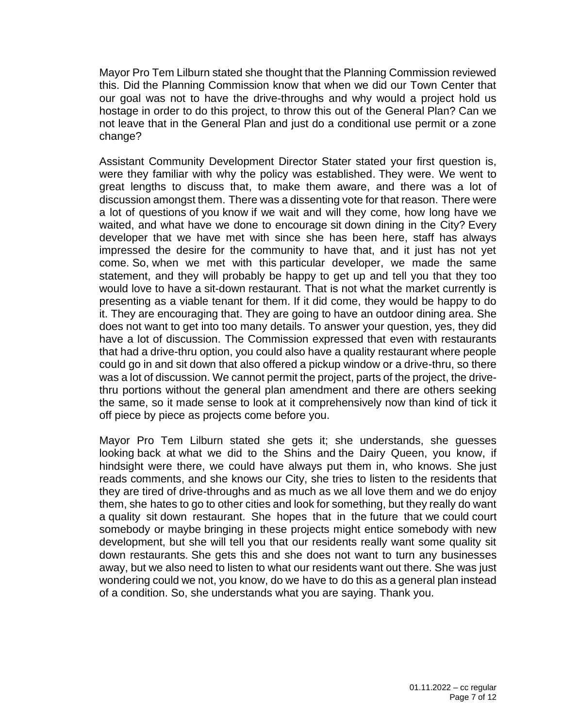Mayor Pro Tem Lilburn stated she thought that the Planning Commission reviewed this. Did the Planning Commission know that when we did our Town Center that our goal was not to have the drive-throughs and why would a project hold us hostage in order to do this project, to throw this out of the General Plan? Can we not leave that in the General Plan and just do a conditional use permit or a zone change?

Assistant Community Development Director Stater stated your first question is, were they familiar with why the policy was established. They were. We went to great lengths to discuss that, to make them aware, and there was a lot of discussion amongst them. There was a dissenting vote for that reason. There were a lot of questions of you know if we wait and will they come, how long have we waited, and what have we done to encourage sit down dining in the City? Every developer that we have met with since she has been here, staff has always impressed the desire for the community to have that, and it just has not yet come. So, when we met with this particular developer, we made the same statement, and they will probably be happy to get up and tell you that they too would love to have a sit-down restaurant. That is not what the market currently is presenting as a viable tenant for them. If it did come, they would be happy to do it. They are encouraging that. They are going to have an outdoor dining area. She does not want to get into too many details. To answer your question, yes, they did have a lot of discussion. The Commission expressed that even with restaurants that had a drive-thru option, you could also have a quality restaurant where people could go in and sit down that also offered a pickup window or a drive-thru, so there was a lot of discussion. We cannot permit the project, parts of the project, the drivethru portions without the general plan amendment and there are others seeking the same, so it made sense to look at it comprehensively now than kind of tick it off piece by piece as projects come before you.

Mayor Pro Tem Lilburn stated she gets it; she understands, she guesses looking back at what we did to the Shins and the Dairy Queen, you know, if hindsight were there, we could have always put them in, who knows. She just reads comments, and she knows our City, she tries to listen to the residents that they are tired of drive-throughs and as much as we all love them and we do enjoy them, she hates to go to other cities and look for something, but they really do want a quality sit down restaurant. She hopes that in the future that we could court somebody or maybe bringing in these projects might entice somebody with new development, but she will tell you that our residents really want some quality sit down restaurants. She gets this and she does not want to turn any businesses away, but we also need to listen to what our residents want out there. She was just wondering could we not, you know, do we have to do this as a general plan instead of a condition. So, she understands what you are saying. Thank you.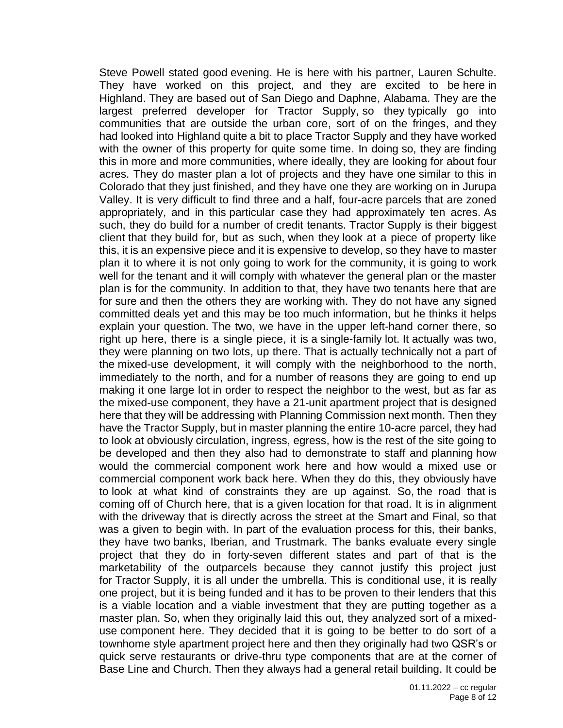Steve Powell stated good evening. He is here with his partner, Lauren Schulte. They have worked on this project, and they are excited to be here in Highland. They are based out of San Diego and Daphne, Alabama. They are the largest preferred developer for Tractor Supply, so they typically go into communities that are outside the urban core, sort of on the fringes, and they had looked into Highland quite a bit to place Tractor Supply and they have worked with the owner of this property for quite some time. In doing so, they are finding this in more and more communities, where ideally, they are looking for about four acres. They do master plan a lot of projects and they have one similar to this in Colorado that they just finished, and they have one they are working on in Jurupa Valley. It is very difficult to find three and a half, four-acre parcels that are zoned appropriately, and in this particular case they had approximately ten acres. As such, they do build for a number of credit tenants. Tractor Supply is their biggest client that they build for, but as such, when they look at a piece of property like this, it is an expensive piece and it is expensive to develop, so they have to master plan it to where it is not only going to work for the community, it is going to work well for the tenant and it will comply with whatever the general plan or the master plan is for the community. In addition to that, they have two tenants here that are for sure and then the others they are working with. They do not have any signed committed deals yet and this may be too much information, but he thinks it helps explain your question. The two, we have in the upper left-hand corner there, so right up here, there is a single piece, it is a single-family lot. It actually was two, they were planning on two lots, up there. That is actually technically not a part of the mixed-use development, it will comply with the neighborhood to the north, immediately to the north, and for a number of reasons they are going to end up making it one large lot in order to respect the neighbor to the west, but as far as the mixed-use component, they have a 21-unit apartment project that is designed here that they will be addressing with Planning Commission next month. Then they have the Tractor Supply, but in master planning the entire 10-acre parcel, they had to look at obviously circulation, ingress, egress, how is the rest of the site going to be developed and then they also had to demonstrate to staff and planning how would the commercial component work here and how would a mixed use or commercial component work back here. When they do this, they obviously have to look at what kind of constraints they are up against. So, the road that is coming off of Church here, that is a given location for that road. It is in alignment with the driveway that is directly across the street at the Smart and Final, so that was a given to begin with. In part of the evaluation process for this, their banks, they have two banks, Iberian, and Trustmark. The banks evaluate every single project that they do in forty-seven different states and part of that is the marketability of the outparcels because they cannot justify this project just for Tractor Supply, it is all under the umbrella. This is conditional use, it is really one project, but it is being funded and it has to be proven to their lenders that this is a viable location and a viable investment that they are putting together as a master plan. So, when they originally laid this out, they analyzed sort of a mixeduse component here. They decided that it is going to be better to do sort of a townhome style apartment project here and then they originally had two QSR's or quick serve restaurants or drive-thru type components that are at the corner of Base Line and Church. Then they always had a general retail building. It could be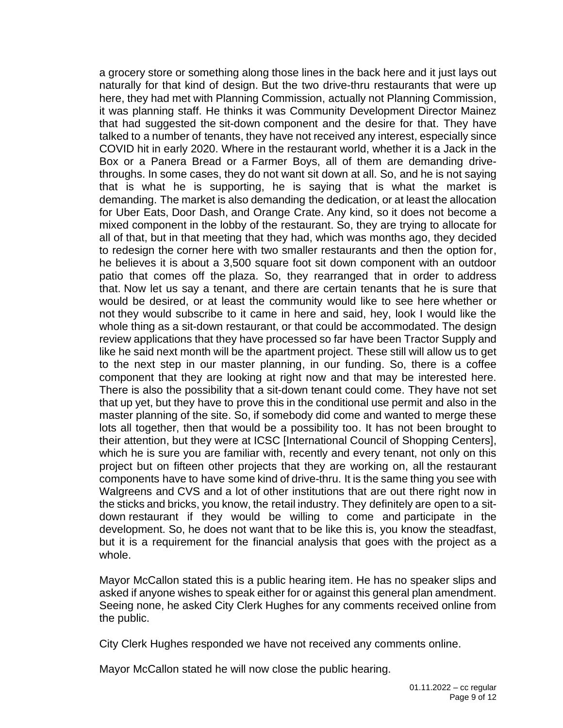a grocery store or something along those lines in the back here and it just lays out naturally for that kind of design. But the two drive-thru restaurants that were up here, they had met with Planning Commission, actually not Planning Commission, it was planning staff. He thinks it was Community Development Director Mainez that had suggested the sit-down component and the desire for that. They have talked to a number of tenants, they have not received any interest, especially since COVID hit in early 2020. Where in the restaurant world, whether it is a Jack in the Box or a Panera Bread or a Farmer Boys, all of them are demanding drivethroughs. In some cases, they do not want sit down at all. So, and he is not saying that is what he is supporting, he is saying that is what the market is demanding. The market is also demanding the dedication, or at least the allocation for Uber Eats, Door Dash, and Orange Crate. Any kind, so it does not become a mixed component in the lobby of the restaurant. So, they are trying to allocate for all of that, but in that meeting that they had, which was months ago, they decided to redesign the corner here with two smaller restaurants and then the option for, he believes it is about a 3,500 square foot sit down component with an outdoor patio that comes off the plaza. So, they rearranged that in order to address that. Now let us say a tenant, and there are certain tenants that he is sure that would be desired, or at least the community would like to see here whether or not they would subscribe to it came in here and said, hey, look I would like the whole thing as a sit-down restaurant, or that could be accommodated. The design review applications that they have processed so far have been Tractor Supply and like he said next month will be the apartment project. These still will allow us to get to the next step in our master planning, in our funding. So, there is a coffee component that they are looking at right now and that may be interested here. There is also the possibility that a sit-down tenant could come. They have not set that up yet, but they have to prove this in the conditional use permit and also in the master planning of the site. So, if somebody did come and wanted to merge these lots all together, then that would be a possibility too. It has not been brought to their attention, but they were at ICSC [International Council of Shopping Centers], which he is sure you are familiar with, recently and every tenant, not only on this project but on fifteen other projects that they are working on, all the restaurant components have to have some kind of drive-thru. It is the same thing you see with Walgreens and CVS and a lot of other institutions that are out there right now in the sticks and bricks, you know, the retail industry. They definitely are open to a sitdown restaurant if they would be willing to come and participate in the development. So, he does not want that to be like this is, you know the steadfast, but it is a requirement for the financial analysis that goes with the project as a whole.

Mayor McCallon stated this is a public hearing item. He has no speaker slips and asked if anyone wishes to speak either for or against this general plan amendment. Seeing none, he asked City Clerk Hughes for any comments received online from the public.

City Clerk Hughes responded we have not received any comments online.

Mayor McCallon stated he will now close the public hearing.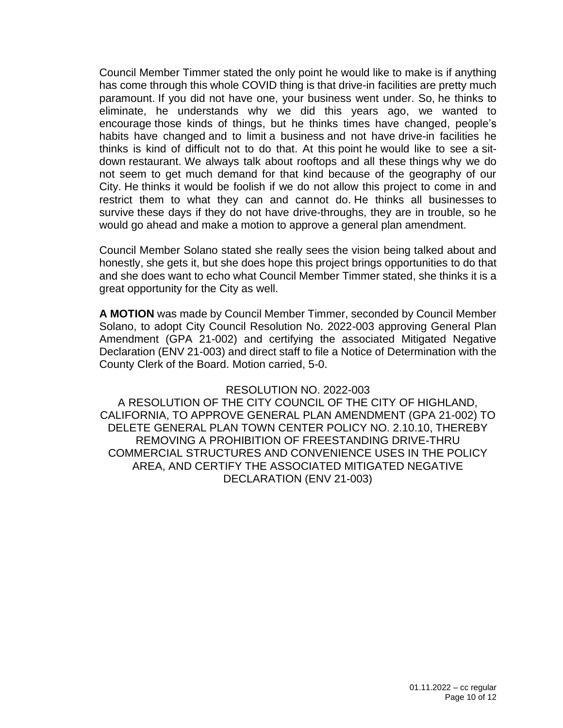Council Member Timmer stated the only point he would like to make is if anything has come through this whole COVID thing is that drive-in facilities are pretty much paramount. If you did not have one, your business went under. So, he thinks to eliminate, he understands why we did this years ago, we wanted to encourage those kinds of things, but he thinks times have changed, people's habits have changed and to limit a business and not have drive-in facilities he thinks is kind of difficult not to do that. At this point he would like to see a sitdown restaurant. We always talk about rooftops and all these things why we do not seem to get much demand for that kind because of the geography of our City. He thinks it would be foolish if we do not allow this project to come in and restrict them to what they can and cannot do. He thinks all businesses to survive these days if they do not have drive-throughs, they are in trouble, so he would go ahead and make a motion to approve a general plan amendment.

Council Member Solano stated she really sees the vision being talked about and honestly, she gets it, but she does hope this project brings opportunities to do that and she does want to echo what Council Member Timmer stated, she thinks it is a great opportunity for the City as well.

**A MOTION** was made by Council Member Timmer, seconded by Council Member Solano, to adopt City Council Resolution No. 2022-003 approving General Plan Amendment (GPA 21-002) and certifying the associated Mitigated Negative Declaration (ENV 21-003) and direct staff to file a Notice of Determination with the County Clerk of the Board. Motion carried, 5-0.

#### RESOLUTION NO. 2022-003

A RESOLUTION OF THE CITY COUNCIL OF THE CITY OF HIGHLAND, CALIFORNIA, TO APPROVE GENERAL PLAN AMENDMENT (GPA 21-002) TO DELETE GENERAL PLAN TOWN CENTER POLICY NO. 2.10.10, THEREBY REMOVING A PROHIBITION OF FREESTANDING DRIVE-THRU COMMERCIAL STRUCTURES AND CONVENIENCE USES IN THE POLICY AREA, AND CERTIFY THE ASSOCIATED MITIGATED NEGATIVE DECLARATION (ENV 21-003)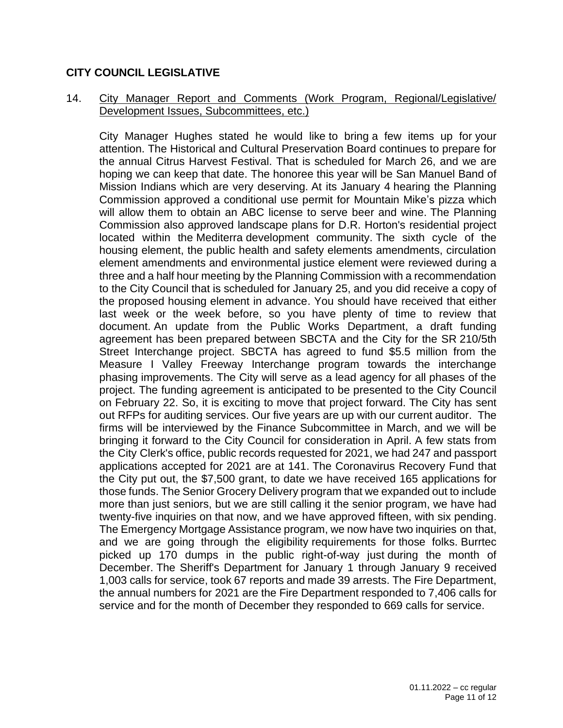### **CITY COUNCIL LEGISLATIVE**

### 14. City Manager Report and Comments (Work Program, Regional/Legislative/ Development Issues, Subcommittees, etc.)

City Manager Hughes stated he would like to bring a few items up for your attention. The Historical and Cultural Preservation Board continues to prepare for the annual Citrus Harvest Festival. That is scheduled for March 26, and we are hoping we can keep that date. The honoree this year will be San Manuel Band of Mission Indians which are very deserving. At its January 4 hearing the Planning Commission approved a conditional use permit for Mountain Mike's pizza which will allow them to obtain an ABC license to serve beer and wine. The Planning Commission also approved landscape plans for D.R. Horton's residential project located within the Mediterra development community. The sixth cycle of the housing element, the public health and safety elements amendments, circulation element amendments and environmental justice element were reviewed during a three and a half hour meeting by the Planning Commission with a recommendation to the City Council that is scheduled for January 25, and you did receive a copy of the proposed housing element in advance. You should have received that either last week or the week before, so you have plenty of time to review that document. An update from the Public Works Department, a draft funding agreement has been prepared between SBCTA and the City for the SR 210/5th Street Interchange project. SBCTA has agreed to fund \$5.5 million from the Measure I Valley Freeway Interchange program towards the interchange phasing improvements. The City will serve as a lead agency for all phases of the project. The funding agreement is anticipated to be presented to the City Council on February 22. So, it is exciting to move that project forward. The City has sent out RFPs for auditing services. Our five years are up with our current auditor. The firms will be interviewed by the Finance Subcommittee in March, and we will be bringing it forward to the City Council for consideration in April. A few stats from the City Clerk's office, public records requested for 2021, we had 247 and passport applications accepted for 2021 are at 141. The Coronavirus Recovery Fund that the City put out, the \$7,500 grant, to date we have received 165 applications for those funds. The Senior Grocery Delivery program that we expanded out to include more than just seniors, but we are still calling it the senior program, we have had twenty-five inquiries on that now, and we have approved fifteen, with six pending. The Emergency Mortgage Assistance program, we now have two inquiries on that, and we are going through the eligibility requirements for those folks. Burrtec picked up 170 dumps in the public right-of-way just during the month of December. The Sheriff's Department for January 1 through January 9 received 1,003 calls for service, took 67 reports and made 39 arrests. The Fire Department, the annual numbers for 2021 are the Fire Department responded to 7,406 calls for service and for the month of December they responded to 669 calls for service.